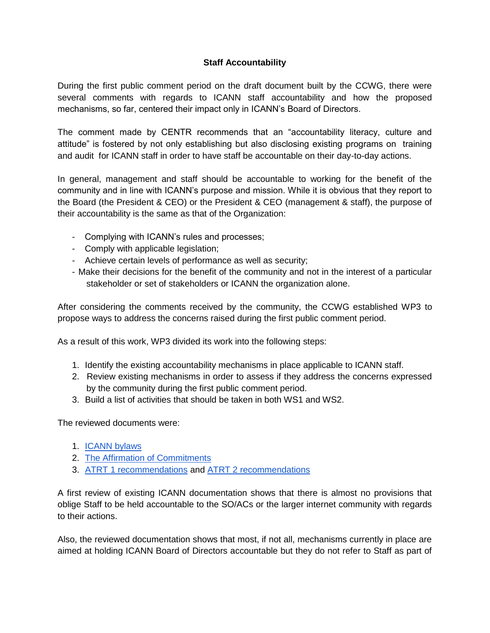## **Staff Accountability**

During the first public comment period on the draft document built by the CCWG, there were several comments with regards to ICANN staff accountability and how the proposed mechanisms, so far, centered their impact only in ICANN's Board of Directors.

The comment made by CENTR recommends that an "accountability literacy, culture and attitude" is fostered by not only establishing but also disclosing existing programs on training and audit for ICANN staff in order to have staff be accountable on their day-to-day actions.

In general, management and staff should be accountable to working for the benefit of the community and in line with ICANN's purpose and mission. While it is obvious that they report to the Board (the President & CEO) or the President & CEO (management & staff), the purpose of their accountability is the same as that of the Organization:

- Complying with ICANN's rules and processes;
- Comply with applicable legislation;
- Achieve certain levels of performance as well as security;
- Make their decisions for the benefit of the community and not in the interest of a particular stakeholder or set of stakeholders or ICANN the organization alone.

After considering the comments received by the community, the CCWG established WP3 to propose ways to address the concerns raised during the first public comment period.

As a result of this work, WP3 divided its work into the following steps:

- 1. Identify the existing accountability mechanisms in place applicable to ICANN staff.
- 2. Review existing mechanisms in order to assess if they address the concerns expressed by the community during the first public comment period.
- 3. Build a list of activities that should be taken in both WS1 and WS2.

The reviewed documents were:

- 1. [ICANN bylaws](https://www.icann.org/resources/pages/governance/bylaws-en)
- 2. [The Affirmation of Commitments](https://community.icann.org/download/attachments/53782997/affirmation-of-commitments-30sep09-en.pdf?version=1&modificationDate=1435911624000&api=v2)
- 3. [ATRT 1 recommendations](https://community.icann.org/download/attachments/53782997/final-recommendations-31dec10-en.pdf?version=1&modificationDate=1435911759000&api=v2) an[d](https://community.icann.org/download/attachments/53782997/final-recommendations-31dec13-en.pdf?version=1&modificationDate=1435911871000&api=v2) [ATRT 2 recommendations](https://community.icann.org/download/attachments/53782997/final-recommendations-31dec13-en.pdf?version=1&modificationDate=1435911871000&api=v2)

A first review of existing ICANN documentation shows that there is almost no provisions that oblige Staff to be held accountable to the SO/ACs or the larger internet community with regards to their actions.

Also, the reviewed documentation shows that most, if not all, mechanisms currently in place are aimed at holding ICANN Board of Directors accountable but they do not refer to Staff as part of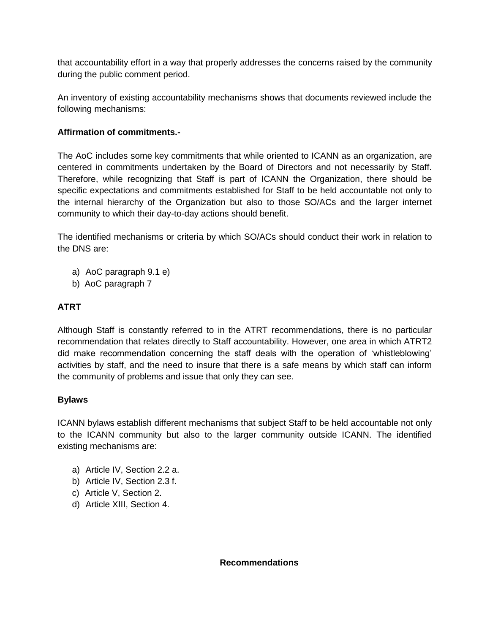that accountability effort in a way that properly addresses the concerns raised by the community during the public comment period.

An inventory of existing accountability mechanisms shows that documents reviewed include the following mechanisms:

## **Affirmation of commitments.-**

The AoC includes some key commitments that while oriented to ICANN as an organization, are centered in commitments undertaken by the Board of Directors and not necessarily by Staff. Therefore, while recognizing that Staff is part of ICANN the Organization, there should be specific expectations and commitments established for Staff to be held accountable not only to the internal hierarchy of the Organization but also to those SO/ACs and the larger internet community to which their day-to-day actions should benefit.

The identified mechanisms or criteria by which SO/ACs should conduct their work in relation to the DNS are:

- a) AoC paragraph 9.1 e)
- b) AoC paragraph 7

## **ATRT**

Although Staff is constantly referred to in the ATRT recommendations, there is no particular recommendation that relates directly to Staff accountability. However, one area in which ATRT2 did make recommendation concerning the staff deals with the operation of 'whistleblowing' activities by staff, and the need to insure that there is a safe means by which staff can inform the community of problems and issue that only they can see.

## **Bylaws**

ICANN bylaws establish different mechanisms that subject Staff to be held accountable not only to the ICANN community but also to the larger community outside ICANN. The identified existing mechanisms are:

- a) Article IV, Section 2.2 a.
- b) Article IV, Section 2.3 f.
- c) Article V, Section 2.
- d) Article XIII, Section 4.

**Recommendations**